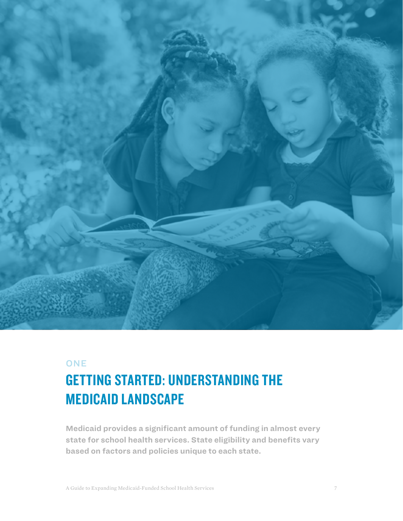

## **ONE**

# GETTING STARTED: UNDERSTANDING THE MEDICAID LANDSCAPE

**Medicaid provides a significant amount of funding in almost every state for school health services. State eligibility and benefits vary based on factors and policies unique to each state.**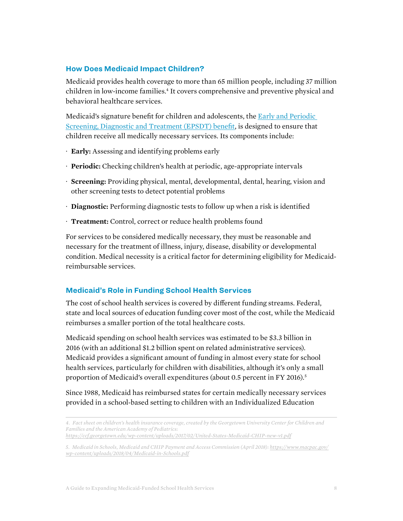#### **How Does Medicaid Impact Children?**

Medicaid provides health coverage to more than 65 million people, including 37 million children in low-income families.<sup>4</sup> It covers comprehensive and preventive physical and behavioral healthcare services.

Medicaid's signature benefit for children and adolescents, the [Early and Periodic](https://www.medicaid.gov/medicaid/benefits/epsdt/index.html)  [Screening, Diagnostic and Treatment \(EPSDT\) benefit,](https://www.medicaid.gov/medicaid/benefits/epsdt/index.html) is designed to ensure that children receive all medically necessary services. Its components include:

- · **Early:** Assessing and identifying problems early
- · **Periodic:** Checking children's health at periodic, age-appropriate intervals
- · **Screening:** Providing physical, mental, developmental, dental, hearing, vision and other screening tests to detect potential problems
- · **Diagnostic:** Performing diagnostic tests to follow up when a risk is identified
- · **Treatment:** Control, correct or reduce health problems found

For services to be considered medically necessary, they must be reasonable and necessary for the treatment of illness, injury, disease, disability or developmental condition. Medical necessity is a critical factor for determining eligibility for Medicaidreimbursable services.

#### **Medicaid's Role in Funding School Health Services**

The cost of school health services is covered by different funding streams. Federal, state and local sources of education funding cover most of the cost, while the Medicaid reimburses a smaller portion of the total healthcare costs.

Medicaid spending on school health services was estimated to be \$3.3 billion in 2016 (with an additional \$1.2 billion spent on related administrative services). Medicaid provides a significant amount of funding in almost every state for school health services, particularly for children with disabilities, although it's only a small proportion of Medicaid's overall expenditures (about 0.5 percent in FY 2016).<sup>5</sup>

Since 1988, Medicaid has reimbursed states for certain medically necessary services provided in a school-based setting to children with an Individualized Education

*<sup>4.</sup> Fact sheet on children's health insurance coverage, created by the Georgetown University Center for Children and Families and the American Academy of Pediatrics: <https://ccf.georgetown.edu/wp-content/uploads/2017/02/United-States-Medicaid-CHIP-new-v1.pdf>*

*<sup>5.</sup> Medicaid in Schools, Medicaid and CHIP Payment and Access Commission (April 2018): [https://www.macpac.gov/](https://www.macpac.gov/wp-content/uploads/2018/04/Medicaid-in-Schools.pdf) [wp-content/uploads/2018/04/Medicaid-in-Schools.pdf](https://www.macpac.gov/wp-content/uploads/2018/04/Medicaid-in-Schools.pdf)*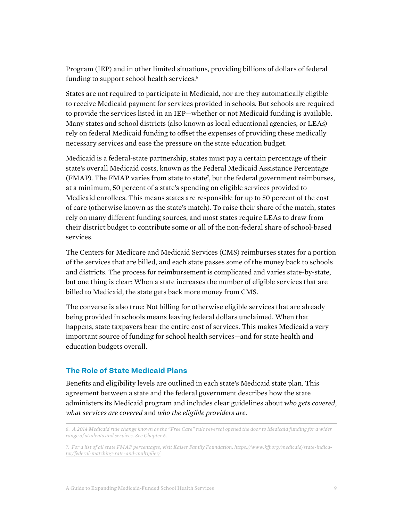Program (IEP) and in other limited situations, providing billions of dollars of federal funding to support school health services.<sup>6</sup>

States are not required to participate in Medicaid, nor are they automatically eligible to receive Medicaid payment for services provided in schools. But schools are required to provide the services listed in an IEP—whether or not Medicaid funding is available. Many states and school districts (also known as local educational agencies, or LEAs) rely on federal Medicaid funding to offset the expenses of providing these medically necessary services and ease the pressure on the state education budget.

Medicaid is a federal-state partnership; states must pay a certain percentage of their state's overall Medicaid costs, known as the Federal Medicaid Assistance Percentage (FMAP). The FMAP varies from state to state7 , but the federal government reimburses, at a minimum, 50 percent of a state's spending on eligible services provided to Medicaid enrollees. This means states are responsible for up to 50 percent of the cost of care (otherwise known as the state's match). To raise their share of the match, states rely on many different funding sources, and most states require LEAs to draw from their district budget to contribute some or all of the non-federal share of school-based services.

The Centers for Medicare and Medicaid Services (CMS) reimburses states for a portion of the services that are billed, and each state passes some of the money back to schools and districts. The process for reimbursement is complicated and varies state-by-state, but one thing is clear: When a state increases the number of eligible services that are billed to Medicaid, the state gets back more money from CMS.

The converse is also true: Not billing for otherwise eligible services that are already being provided in schools means leaving federal dollars unclaimed. When that happens, state taxpayers bear the entire cost of services. This makes Medicaid a very important source of funding for school health services—and for state health and education budgets overall.

### **The Role of State Medicaid Plans**

Benefits and eligibility levels are outlined in each state's Medicaid state plan. This agreement between a state and the federal government describes how the state administers its Medicaid program and includes clear guidelines about *who gets covered*, *what services are covered* and *who the eligible providers are*.

*<sup>6.</sup> A 2014 Medicaid rule change known as the "Free Care" rule reversal opened the door to Medicaid funding for a wider range of students and services. See Chapter 6.*

*<sup>7.</sup> For a list of all state FMAP percentages, visit Kaiser Family Foundation: [https://www.kff.org/medicaid/state-indica](https://www.kff.org/medicaid/state-indicator/federal-matching-rate-and-multiplier/)[tor/federal-matching-rate-and-multiplier/](https://www.kff.org/medicaid/state-indicator/federal-matching-rate-and-multiplier/)*